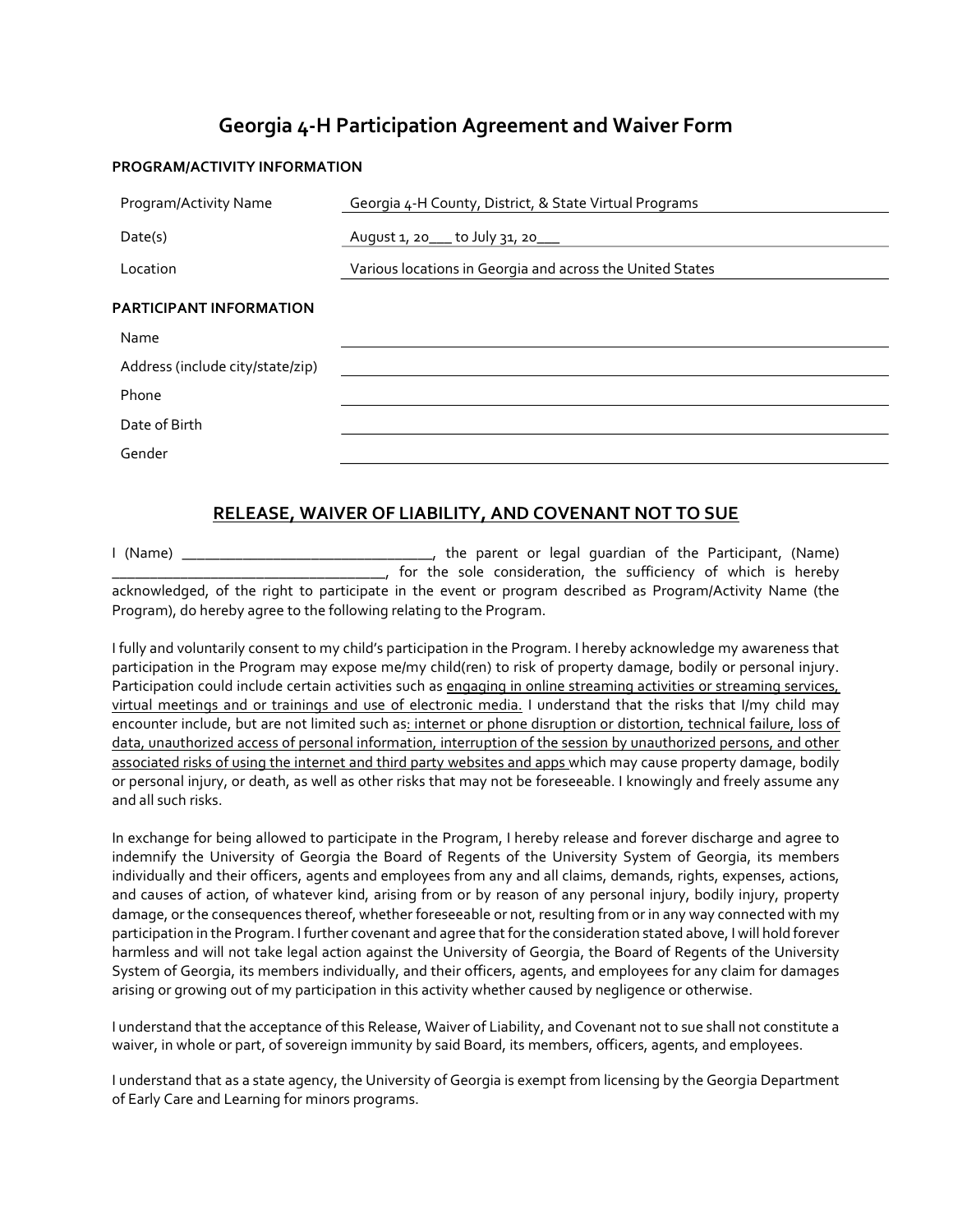## Georgia 4-H Participation Agreement and Waiver Form

## PROGRAM/ACTIVITY INFORMATION

| Program/Activity Name            | Georgia 4-H County, District, & State Virtual Programs    |  |  |  |
|----------------------------------|-----------------------------------------------------------|--|--|--|
| Date(s)                          | August 1, 20___ to July 31, 20___                         |  |  |  |
| Location                         | Various locations in Georgia and across the United States |  |  |  |
| <b>PARTICIPANT INFORMATION</b>   |                                                           |  |  |  |
| Name                             |                                                           |  |  |  |
| Address (include city/state/zip) |                                                           |  |  |  |
| Phone                            |                                                           |  |  |  |
| Date of Birth                    |                                                           |  |  |  |
| Gender                           |                                                           |  |  |  |

## RELEASE, WAIVER OF LIABILITY, AND COVENANT NOT TO SUE

I (Name) \_\_\_\_\_\_\_\_\_\_\_\_\_\_\_\_\_\_\_\_\_\_\_\_\_\_\_\_\_\_\_\_\_, the parent or legal guardian of the Participant, (Name) \_\_\_\_\_\_\_\_\_\_\_\_\_\_\_\_\_\_\_\_\_\_\_\_\_\_\_\_\_\_\_\_\_\_\_\_, for the sole consideration, the sufficiency of which is hereby acknowledged, of the right to participate in the event or program described as Program/Activity Name (the Program), do hereby agree to the following relating to the Program.

I fully and voluntarily consent to my child's participation in the Program. I hereby acknowledge my awareness that participation in the Program may expose me/my child(ren) to risk of property damage, bodily or personal injury. Participation could include certain activities such as engaging in online streaming activities or streaming services, virtual meetings and or trainings and use of electronic media. I understand that the risks that I/my child may encounter include, but are not limited such as: internet or phone disruption or distortion, technical failure, loss of data, unauthorized access of personal information, interruption of the session by unauthorized persons, and other associated risks of using the internet and third party websites and apps which may cause property damage, bodily or personal injury, or death, as well as other risks that may not be foreseeable. I knowingly and freely assume any and all such risks.

In exchange for being allowed to participate in the Program, I hereby release and forever discharge and agree to indemnify the University of Georgia the Board of Regents of the University System of Georgia, its members individually and their officers, agents and employees from any and all claims, demands, rights, expenses, actions, and causes of action, of whatever kind, arising from or by reason of any personal injury, bodily injury, property damage, or the consequences thereof, whether foreseeable or not, resulting from or in any way connected with my participation in the Program. I further covenant and agree that for the consideration stated above, I will hold forever harmless and will not take legal action against the University of Georgia, the Board of Regents of the University System of Georgia, its members individually, and their officers, agents, and employees for any claim for damages arising or growing out of my participation in this activity whether caused by negligence or otherwise.

I understand that the acceptance of this Release, Waiver of Liability, and Covenant not to sue shall not constitute a waiver, in whole or part, of sovereign immunity by said Board, its members, officers, agents, and employees.

I understand that as a state agency, the University of Georgia is exempt from licensing by the Georgia Department of Early Care and Learning for minors programs.